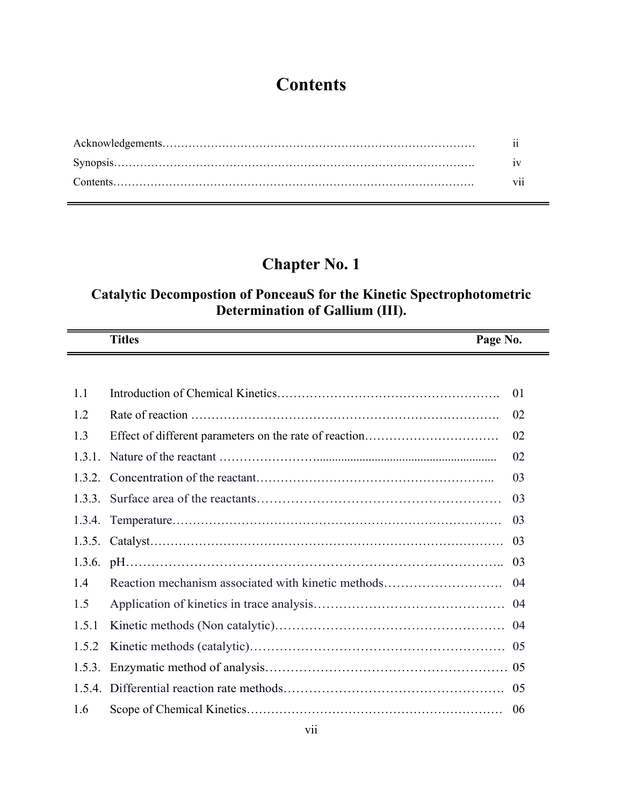# **Contents**

| vii |
|-----|

### **Chapter No. 1**

#### **Catalytic Decompostion of PonceauS for the Kinetic Spectrophotometric Determination of Gallium (III).**

|       | <b>Titles</b> | Page No.       |
|-------|---------------|----------------|
|       |               |                |
| $-11$ |               | 0 <sub>1</sub> |

| 1.2   |                                                    | 02  |
|-------|----------------------------------------------------|-----|
| 1.3   |                                                    | 02  |
|       |                                                    | 02  |
|       |                                                    | 03  |
|       |                                                    | 03  |
|       |                                                    | 03  |
|       |                                                    | 03  |
|       |                                                    | 03  |
| 1.4   | Reaction mechanism associated with kinetic methods | -04 |
| 1.5   |                                                    |     |
| 1.5.1 |                                                    |     |
| 1.5.2 |                                                    |     |
|       |                                                    |     |
|       |                                                    |     |
| 1.6   |                                                    | 06  |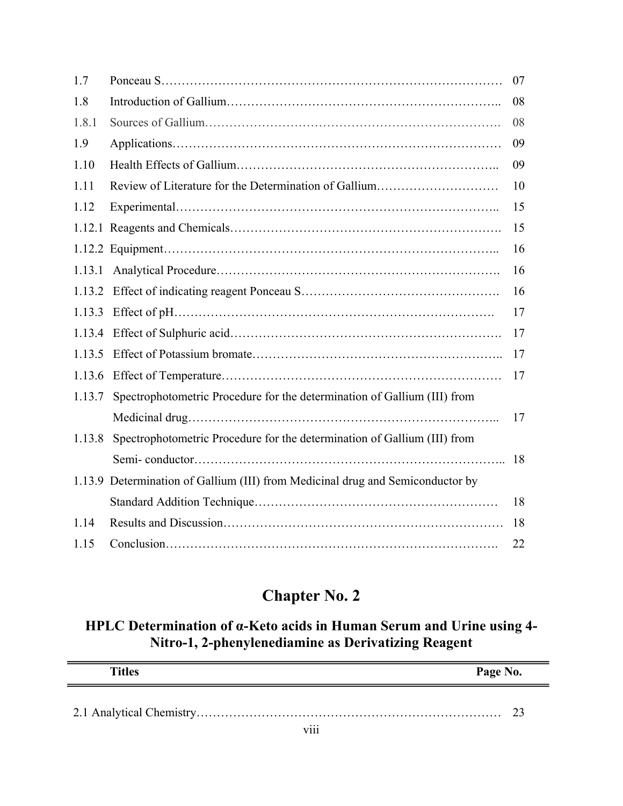| 1.7    |                                                                                | 07 |
|--------|--------------------------------------------------------------------------------|----|
| 1.8    |                                                                                | 08 |
| 1.8.1  |                                                                                | 08 |
| 1.9    |                                                                                | 09 |
| 1.10   |                                                                                | 09 |
| 1.11   | Review of Literature for the Determination of Gallium                          | 10 |
| 1.12   |                                                                                | 15 |
|        |                                                                                | 15 |
|        |                                                                                | 16 |
| 1.13.1 |                                                                                | 16 |
| 1.13.2 |                                                                                | 16 |
| 1.13.3 |                                                                                | 17 |
| 1.13.4 |                                                                                | 17 |
| 1.13.5 |                                                                                | 17 |
| 1.13.6 |                                                                                | 17 |
| 1.13.7 | Spectrophotometric Procedure for the determination of Gallium (III) from       |    |
|        |                                                                                | 17 |
| 1.13.8 | Spectrophotometric Procedure for the determination of Gallium (III) from       |    |
|        |                                                                                | 18 |
|        | 1.13.9 Determination of Gallium (III) from Medicinal drug and Semiconductor by |    |
|        |                                                                                | 18 |
| 1.14   |                                                                                | 18 |
| 1.15   |                                                                                | 22 |

#### **HPLC Determination of α-Keto acids in Human Serum and Urine using 4- Nitro-1, 2-phenylenediamine as Derivatizing Reagent**

| <b>Titles</b>               | Page No. |
|-----------------------------|----------|
|                             |          |
| $\cdot \cdot \cdot$<br>V111 |          |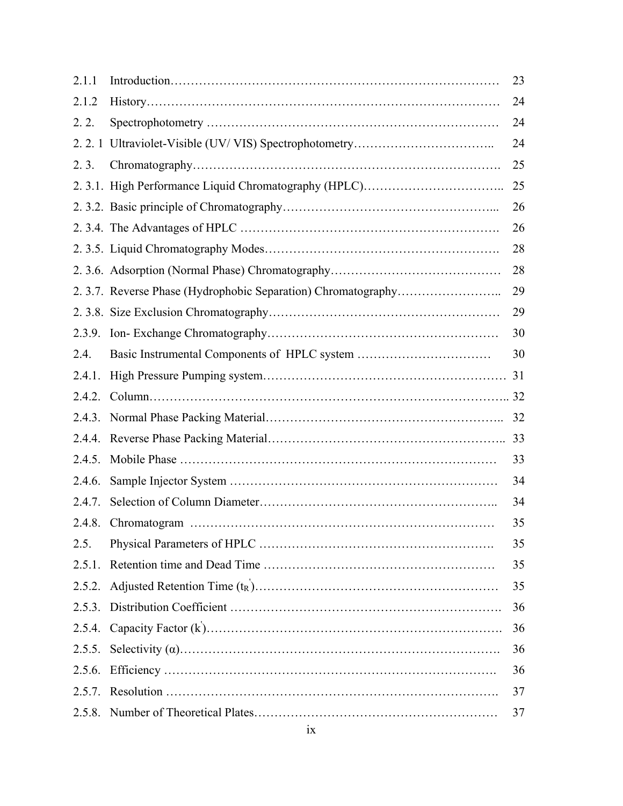| 2.1.1  | 23 |
|--------|----|
| 2.1.2  | 24 |
| 2.2.   | 24 |
|        | 24 |
| 2.3.   | 25 |
|        | 25 |
|        | 26 |
|        | 26 |
|        | 28 |
|        | 28 |
|        | 29 |
|        | 29 |
| 2.3.9. | 30 |
| 2.4.   | 30 |
| 2.4.1. |    |
| 2.4.2. |    |
| 2.4.3. | 32 |
| 2.4.4. | 33 |
| 2.4.5. | 33 |
| 2.4.6. | 34 |
| 2.4.7. | 34 |
| 2.4.8. | 35 |
| 2.5.   | 35 |
| 2.5.1. | 35 |
| 2.5.2. | 35 |
|        | 36 |
|        | 36 |
| 2.5.5. | 36 |
| 2.5.6. | 36 |
|        | 37 |
| 2.5.8. | 37 |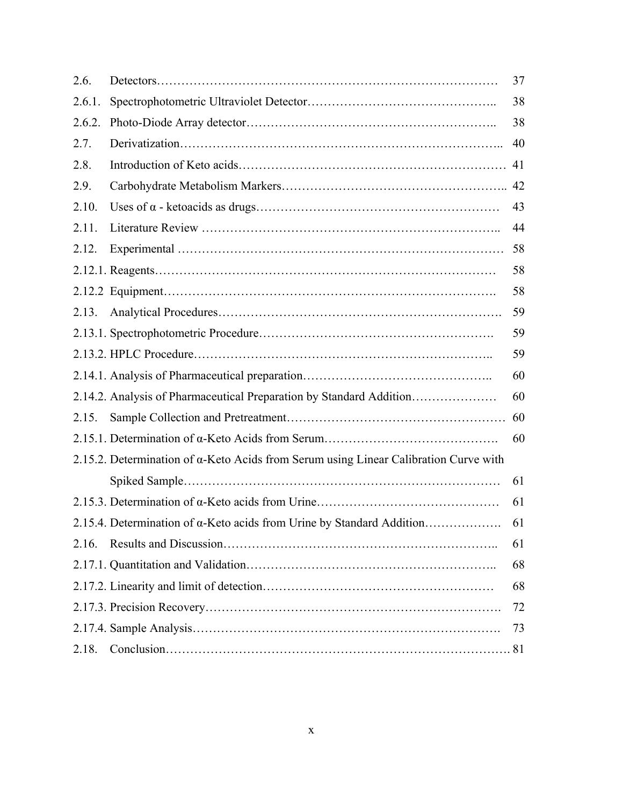| 2.6.   |                                                                                              | 37 |
|--------|----------------------------------------------------------------------------------------------|----|
| 2.6.1. |                                                                                              | 38 |
| 2.6.2. |                                                                                              | 38 |
| 2.7.   |                                                                                              | 40 |
| 2.8.   |                                                                                              | 41 |
| 2.9.   |                                                                                              | 42 |
| 2.10.  |                                                                                              | 43 |
| 2.11.  |                                                                                              | 44 |
| 2.12.  |                                                                                              | 58 |
|        |                                                                                              | 58 |
|        |                                                                                              | 58 |
| 2.13.  |                                                                                              | 59 |
|        |                                                                                              | 59 |
|        |                                                                                              | 59 |
|        |                                                                                              | 60 |
|        | 2.14.2. Analysis of Pharmaceutical Preparation by Standard Addition                          | 60 |
| 2.15.  |                                                                                              | 60 |
|        |                                                                                              | 60 |
|        | 2.15.2. Determination of $\alpha$ -Keto Acids from Serum using Linear Calibration Curve with |    |
|        |                                                                                              | 61 |
|        |                                                                                              | 61 |
|        | 2.15.4. Determination of α-Keto acids from Urine by Standard Addition                        | 61 |
| 2.16.  |                                                                                              | 61 |
|        |                                                                                              | 68 |
|        |                                                                                              | 68 |
|        |                                                                                              | 72 |
|        |                                                                                              | 73 |
| 2.18.  |                                                                                              |    |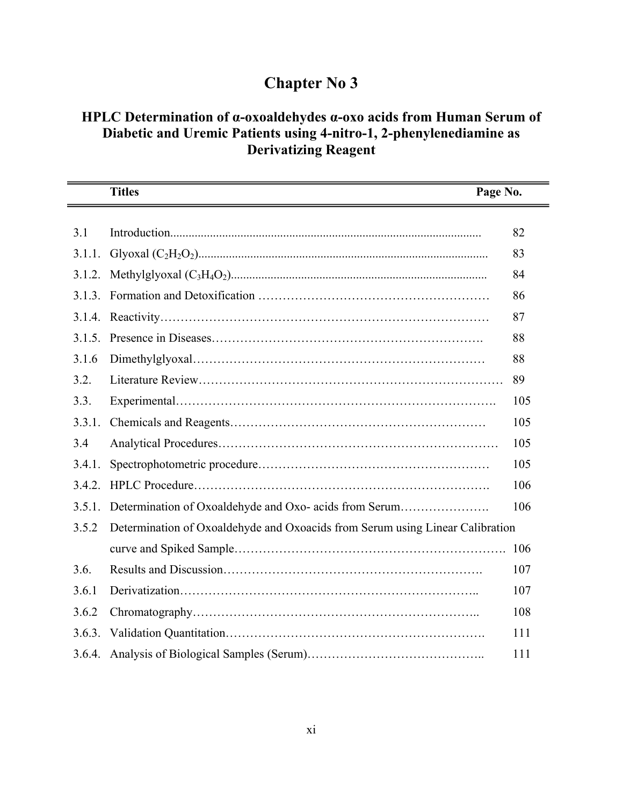#### **HPLC Determination of α-oxoaldehydes α-oxo acids from Human Serum of Diabetic and Uremic Patients using 4-nitro-1, 2-phenylenediamine as Derivatizing Reagent**

|        | <b>Titles</b><br>Page No.                                                     |     |
|--------|-------------------------------------------------------------------------------|-----|
|        |                                                                               |     |
| 3.1    |                                                                               | 82  |
| 3.1.1. |                                                                               | 83  |
|        |                                                                               | 84  |
|        |                                                                               | 86  |
|        |                                                                               | 87  |
| 3.1.5. |                                                                               | 88  |
| 3.1.6  |                                                                               | 88  |
| 3.2.   |                                                                               | 89  |
| 3.3.   |                                                                               | 105 |
| 3.3.1. |                                                                               | 105 |
| 3.4    |                                                                               | 105 |
| 3.4.1. |                                                                               | 105 |
| 3.4.2. |                                                                               | 106 |
| 3.5.1. | Determination of Oxoaldehyde and Oxo- acids from Serum                        | 106 |
| 3.5.2  | Determination of Oxoaldehyde and Oxoacids from Serum using Linear Calibration |     |
|        |                                                                               | 106 |
| 3.6.   |                                                                               | 107 |
| 3.6.1  |                                                                               | 107 |
| 3.6.2  |                                                                               | 108 |
|        |                                                                               | 111 |
|        |                                                                               | 111 |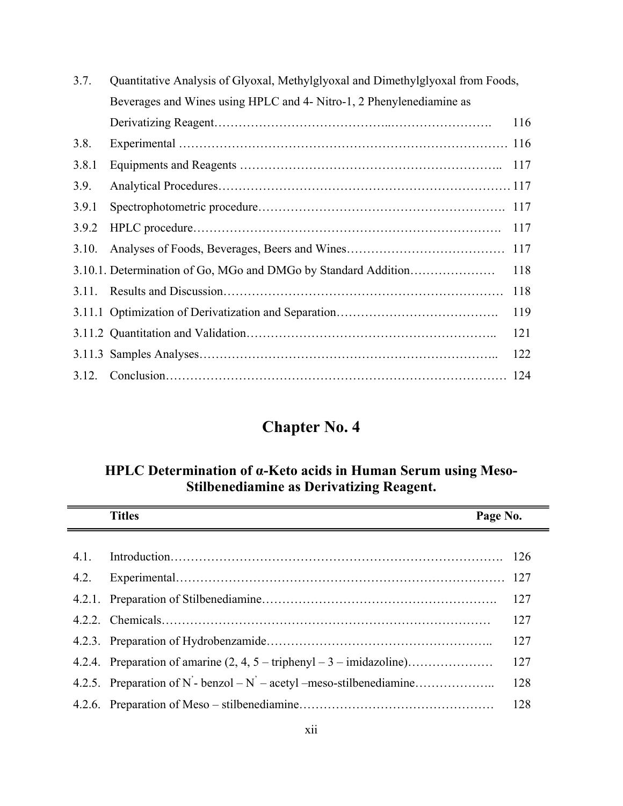| 3.7.  | Quantitative Analysis of Glyoxal, Methylglyoxal and Dimethylglyoxal from Foods, |     |
|-------|---------------------------------------------------------------------------------|-----|
|       | Beverages and Wines using HPLC and 4- Nitro-1, 2 Phenylenediamine as            |     |
|       |                                                                                 | 116 |
| 3.8.  |                                                                                 |     |
| 3.8.1 |                                                                                 | 117 |
| 3.9.  |                                                                                 |     |
| 3.9.1 |                                                                                 |     |
| 3.9.2 |                                                                                 | 117 |
| 3.10. |                                                                                 | 117 |
|       | 3.10.1. Determination of Go, MGo and DMGo by Standard Addition                  | 118 |
| 3.11. |                                                                                 | 118 |
|       |                                                                                 | 119 |
|       |                                                                                 | 121 |
|       |                                                                                 | 122 |
|       |                                                                                 | 124 |

#### **HPLC Determination of α-Keto acids in Human Serum using Meso-Stilbenediamine as Derivatizing Reagent.**

|      | <b>Titles</b><br>Page No.                                                             |     |
|------|---------------------------------------------------------------------------------------|-----|
| 4.1. |                                                                                       |     |
| 4.2. |                                                                                       |     |
|      |                                                                                       | 127 |
|      |                                                                                       | 127 |
|      |                                                                                       | 127 |
|      | 4.2.4. Preparation of amarine $(2, 4, 5 - \text{triphenyl} - 3 - \text{imidazoline})$ | 127 |
|      |                                                                                       | 128 |
|      |                                                                                       | 128 |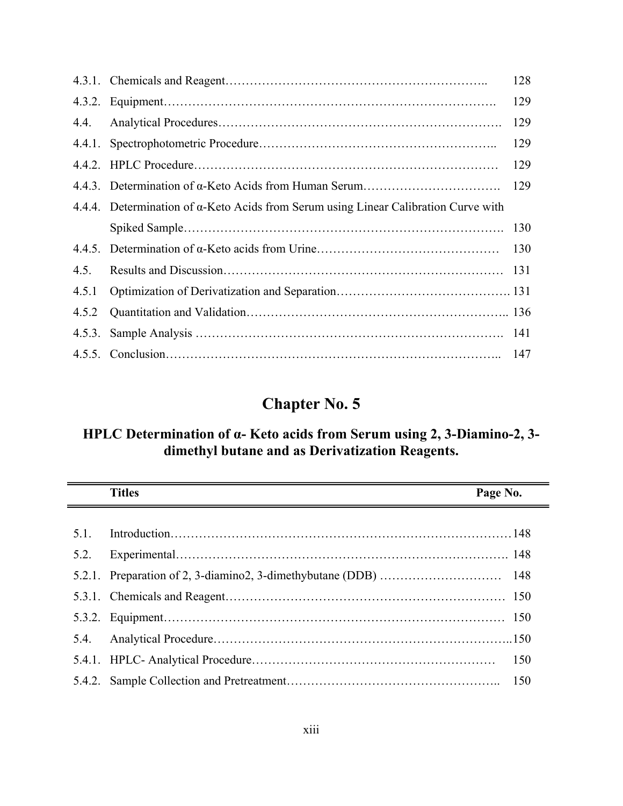|       |                                                                                             | 128 |
|-------|---------------------------------------------------------------------------------------------|-----|
|       |                                                                                             | 129 |
| 4.4.  |                                                                                             | 129 |
|       |                                                                                             | 129 |
|       |                                                                                             | 129 |
|       |                                                                                             | 129 |
|       | 4.4.4. Determination of $\alpha$ -Keto Acids from Serum using Linear Calibration Curve with |     |
|       |                                                                                             | 130 |
|       |                                                                                             | 130 |
| 4.5.  |                                                                                             |     |
| 4.5.1 |                                                                                             |     |
| 4.5.2 |                                                                                             |     |
|       |                                                                                             |     |
|       |                                                                                             | 147 |

#### **HPLC Determination of α- Keto acids from Serum using 2, 3-Diamino-2, 3 dimethyl butane and as Derivatization Reagents.**

|      | <b>Titles</b><br><u> 1980 - Johann Barnett, fransk politiker (</u> | Page No.   |
|------|--------------------------------------------------------------------|------------|
| 51   |                                                                    |            |
| 5.2. |                                                                    |            |
|      |                                                                    |            |
|      |                                                                    |            |
|      |                                                                    |            |
| 54   |                                                                    |            |
|      |                                                                    | <b>150</b> |
|      |                                                                    | -150       |